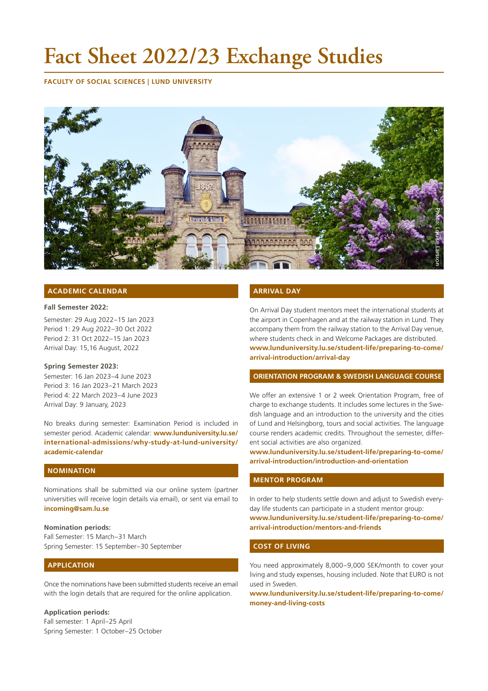# **Fact Sheet 2022/23 Exchange Studies**

**FACULTY OF SOCIAL SCIENCES | LUND UNIVERSITY**



# **ACADEMIC CALENDAR**

#### **Fall Semester 2022:**

Semester: 29 Aug 2022–15 Jan 2023 Period 1: 29 Aug 2022–30 Oct 2022 Period 2: 31 Oct 2022–15 Jan 2023 Arrival Day: 15,16 August, 2022

#### **Spring Semester 2023:**

Semester: 16 Jan 2023–4 June 2023 Period 3: 16 Jan 2023–21 March 2023 Period 4: 22 March 2023–4 June 2023 Arrival Day: 9 January, 2023

No breaks during semester: Examination Period is included in semester period. Academic calendar: **[www.lunduniversity.lu.se/](https://www.lunduniversity.lu.se/international-admissions/why-study-at-lund-university/academic-calendar) [international-admissions/why-study-at-lund-university/](https://www.lunduniversity.lu.se/international-admissions/why-study-at-lund-university/academic-calendar) [academic-calendar](https://www.lunduniversity.lu.se/international-admissions/why-study-at-lund-university/academic-calendar)**

# **NOMINATION**

Nominations shall be submitted via our online system (partner universities will receive login details via email), or sent via email to **[incoming@sam.lu.se](mailto:incoming%40sam.lu.se?subject=)**

### **Nomination periods:**

Fall Semester: 15 March–31 March Spring Semester: 15 September–30 September

# **APPLICATION**

Once the nominations have been submitted students receive an email with the login details that are required for the online application.

#### **Application periods:**

Fall semester: 1 April–25 April Spring Semester: 1 October–25 October

# **ARRIVAL DAY**

On Arrival Day student mentors meet the international students at the airport in Copenhagen and at the railway station in Lund. They accompany them from the railway station to the Arrival Day venue, where students check in and Welcome Packages are distributed. **[www.lunduniversity.lu.se/student-life/preparing-to-come/](https://www.lunduniversity.lu.se/student-life/preparing-to-come/arrival-introduction/arrival-day) [arrival-introduction/arrival-day](https://www.lunduniversity.lu.se/student-life/preparing-to-come/arrival-introduction/arrival-day)**

# **ORIENTATION PROGRAM & SWEDISH LANGUAGE COURSE**

We offer an extensive 1 or 2 week Orientation Program, free of charge to exchange students. It includes some lectures in the Swedish language and an introduction to the university and the cities of Lund and Helsingborg, tours and social activities. The language course renders academic credits. Throughout the semester, different social activities are also organized.

**[www.lunduniversity.lu.se/student-life/preparing-to-come/](https://www.lunduniversity.lu.se/student-life/preparing-to-come/arrival-introduction/introduction-and-orientation) [arrival-introduction/introduction-and-orientation](https://www.lunduniversity.lu.se/student-life/preparing-to-come/arrival-introduction/introduction-and-orientation)**

# **MENTOR PROGRAM**

In order to help students settle down and adjust to Swedish everyday life students can participate in a student mentor group: **[www.lunduniversity.lu.se/student-life/preparing-to-come/](https://www.lunduniversity.lu.se/student-life/preparing-to-come/arrival-introduction/mentors-and-friends) [arrival-introduction/mentors-and-friends](https://www.lunduniversity.lu.se/student-life/preparing-to-come/arrival-introduction/mentors-and-friends)**

#### **COST OF LIVING**

You need approximately 8,000–9,000 SEK/month to cover your living and study expenses, housing included. Note that EURO is not used in Sweden.

**[www.lunduniversity.lu.se/student-life/preparing-to-come/](https://www.lunduniversity.lu.se/student-life/preparing-to-come/money-and-living-costs) [money-and-living-costs](https://www.lunduniversity.lu.se/student-life/preparing-to-come/money-and-living-costs)**